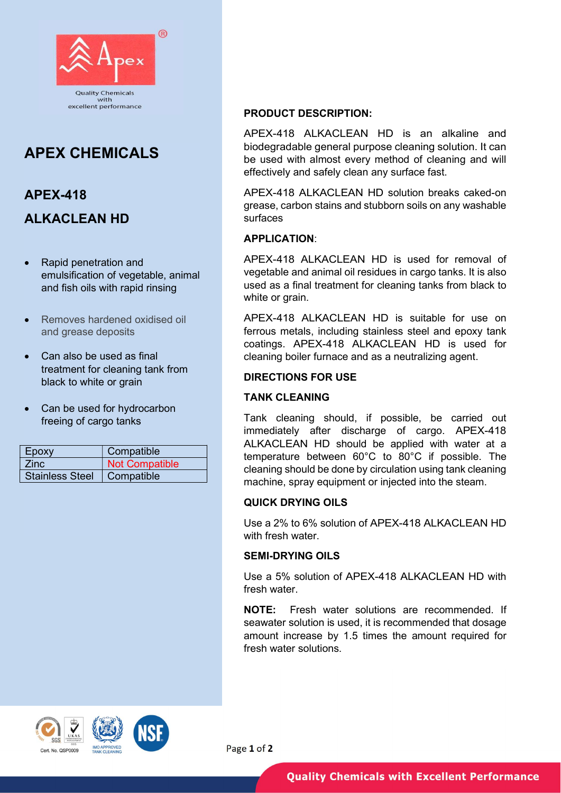

# APEX CHEMICALS

# APEX-418 ALKACLEAN HD

- Rapid penetration and emulsification of vegetable, animal and fish oils with rapid rinsing
- Removes hardened oxidised oil and grease deposits
- Can also be used as final treatment for cleaning tank from black to white or grain
- Can be used for hydrocarbon freeing of cargo tanks

| Epoxy                  | Compatible     |
|------------------------|----------------|
| Zinc.                  | Not Compatible |
| <b>Stainless Steel</b> | Compatible     |

### PRODUCT DESCRIPTION:

APEX-418 ALKACLEAN HD is an alkaline and biodegradable general purpose cleaning solution. It can be used with almost every method of cleaning and will effectively and safely clean any surface fast.

APEX-418 ALKACLEAN HD solution breaks caked-on grease, carbon stains and stubborn soils on any washable surfaces

# APPLICATION:

APEX-418 ALKACLEAN HD is used for removal of vegetable and animal oil residues in cargo tanks. It is also used as a final treatment for cleaning tanks from black to white or grain.

APEX-418 ALKACLEAN HD is suitable for use on ferrous metals, including stainless steel and epoxy tank coatings. APEX-418 ALKACLEAN HD is used for cleaning boiler furnace and as a neutralizing agent.

# DIRECTIONS FOR USE

#### TANK CLEANING

Tank cleaning should, if possible, be carried out immediately after discharge of cargo. APEX-418 ALKACLEAN HD should be applied with water at a temperature between 60°C to 80°C if possible. The cleaning should be done by circulation using tank cleaning machine, spray equipment or injected into the steam.

# QUICK DRYING OILS

Use a 2% to 6% solution of APFX-418 ALKACLEAN HD with fresh water.

#### SEMI-DRYING OILS

Use a 5% solution of APEX-418 ALKACLEAN HD with fresh water.

NOTE: Fresh water solutions are recommended. If seawater solution is used, it is recommended that dosage amount increase by 1.5 times the amount required for fresh water solutions.